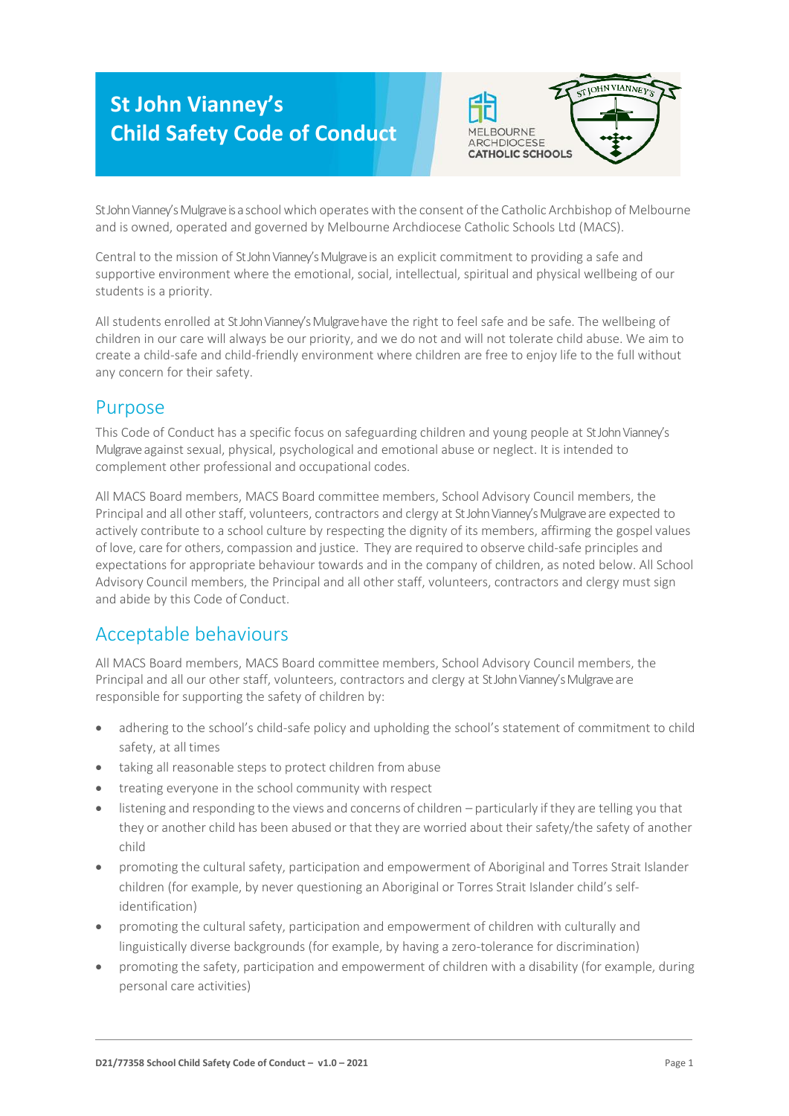# **St John Vianney's Child Safety Code of Conduct**



St John Vianney's Mulgrave is a school which operates with the consent of the Catholic Archbishop of Melbourne and is owned, operated and governed by Melbourne Archdiocese Catholic Schools Ltd (MACS).

Central to the mission of StJohn Vianney's Mulgrave is an explicit commitment to providing a safe and supportive environment where the emotional, social, intellectual, spiritual and physical wellbeing of our students is a priority.

All students enrolled at St John Vianney's Mulgrave have the right to feel safe and be safe. The wellbeing of children in our care will always be our priority, and we do not and will not tolerate child abuse. We aim to create a child-safe and child-friendly environment where children are free to enjoy life to the full without any concern for their safety.

#### Purpose

This Code of Conduct has a specific focus on safeguarding children and young people at StJohn Vianney's Mulgrave against sexual, physical, psychological and emotional abuse or neglect. It is intended to complement other professional and occupational codes.

All MACS Board members, MACS Board committee members, School Advisory Council members, the Principal and all other staff, volunteers, contractors and clergy at St John Vianney's Mulgrave are expected to actively contribute to a school culture by respecting the dignity of its members, affirming the gospel values of love, care for others, compassion and justice. They are required to observe child-safe principles and expectations for appropriate behaviour towards and in the company of children, as noted below. All School Advisory Council members, the Principal and all other staff, volunteers, contractors and clergy must sign and abide by this Code of Conduct.

## Acceptable behaviours

All MACS Board members, MACS Board committee members, School Advisory Council members, the Principal and all our other staff, volunteers, contractors and clergy at St John Vianney's Mulgrave are responsible for supporting the safety of children by:

- adhering to the school's child-safe policy and upholding the school's statement of commitment to child safety, at all times
- taking all reasonable steps to protect children from abuse
- treating everyone in the school community with respect
- listening and responding to the views and concerns of children particularly if they are telling you that they or another child has been abused or that they are worried about their safety/the safety of another child
- promoting the cultural safety, participation and empowerment of Aboriginal and Torres Strait Islander children (for example, by never questioning an Aboriginal or Torres Strait Islander child's selfidentification)
- promoting the cultural safety, participation and empowerment of children with culturally and linguistically diverse backgrounds (for example, by having a zero-tolerance for discrimination)
- promoting the safety, participation and empowerment of children with a disability (for example, during personal care activities)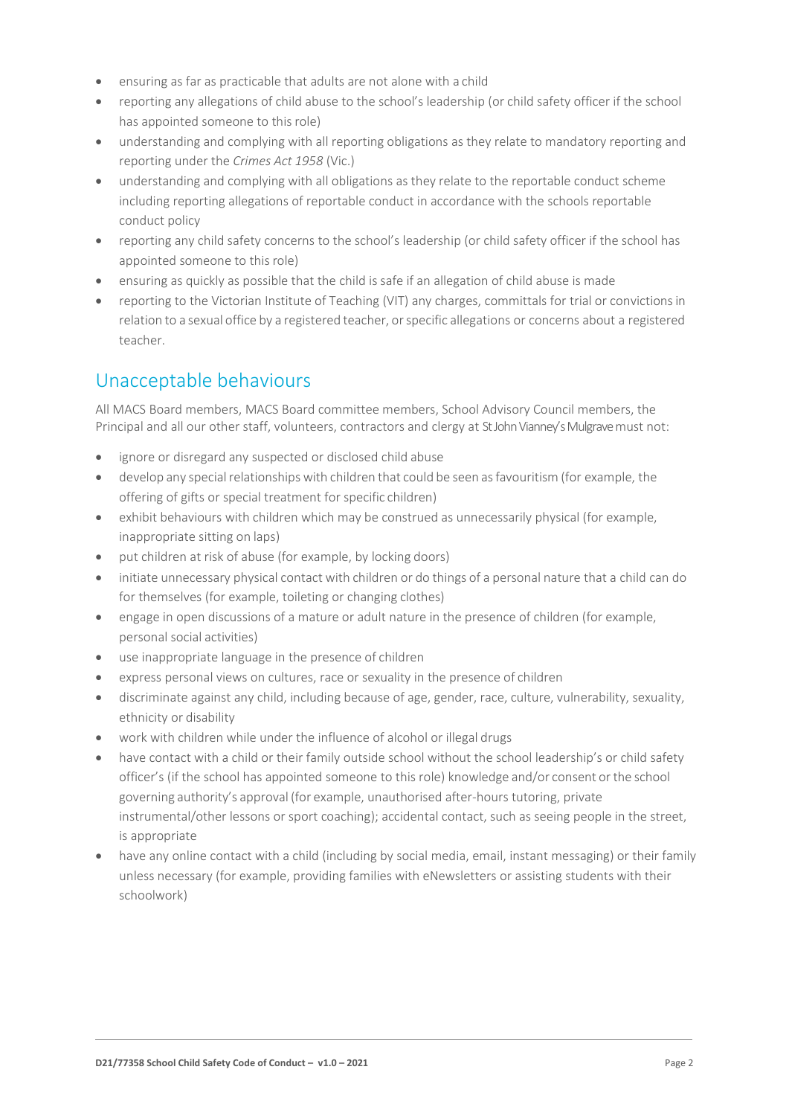- ensuring as far as practicable that adults are not alone with a child
- reporting any allegations of child abuse to the school's leadership (or child safety officer if the school has appointed someone to this role)
- understanding and complying with all reporting obligations as they relate to mandatory reporting and reporting under the *Crimes Act 1958* (Vic.)
- understanding and complying with all obligations as they relate to the reportable conduct scheme including reporting allegations of reportable conduct in accordance with the schools reportable conduct policy
- reporting any child safety concerns to the school's leadership (or child safety officer if the school has appointed someone to this role)
- ensuring as quickly as possible that the child is safe if an allegation of child abuse is made
- reporting to the Victorian Institute of Teaching (VIT) any charges, committals for trial or convictionsin relation to a sexual office by a registered teacher, or specific allegations or concerns about a registered teacher.

### Unacceptable behaviours

All MACS Board members, MACS Board committee members, School Advisory Council members, the Principal and all our other staff, volunteers, contractors and clergy at St John Vianney's Mulgrave must not:

- ignore or disregard any suspected or disclosed child abuse
- develop any special relationships with children that could be seen as favouritism (for example, the offering of gifts or special treatment for specific children)
- exhibit behaviours with children which may be construed as unnecessarily physical (for example, inappropriate sitting on laps)
- put children at risk of abuse (for example, by locking doors)
- initiate unnecessary physical contact with children or do things of a personal nature that a child can do for themselves (for example, toileting or changing clothes)
- engage in open discussions of a mature or adult nature in the presence of children (for example, personal social activities)
- use inappropriate language in the presence of children
- express personal views on cultures, race or sexuality in the presence of children
- discriminate against any child, including because of age, gender, race, culture, vulnerability, sexuality, ethnicity or disability
- work with children while under the influence of alcohol or illegal drugs
- have contact with a child or their family outside school without the school leadership's or child safety officer's (if the school has appointed someone to this role) knowledge and/or consent orthe school governing authority's approval (for example, unauthorised after-hours tutoring, private instrumental/other lessons or sport coaching); accidental contact, such as seeing people in the street, is appropriate
- have any online contact with a child (including by social media, email, instant messaging) or their family unless necessary (for example, providing families with eNewsletters or assisting students with their schoolwork)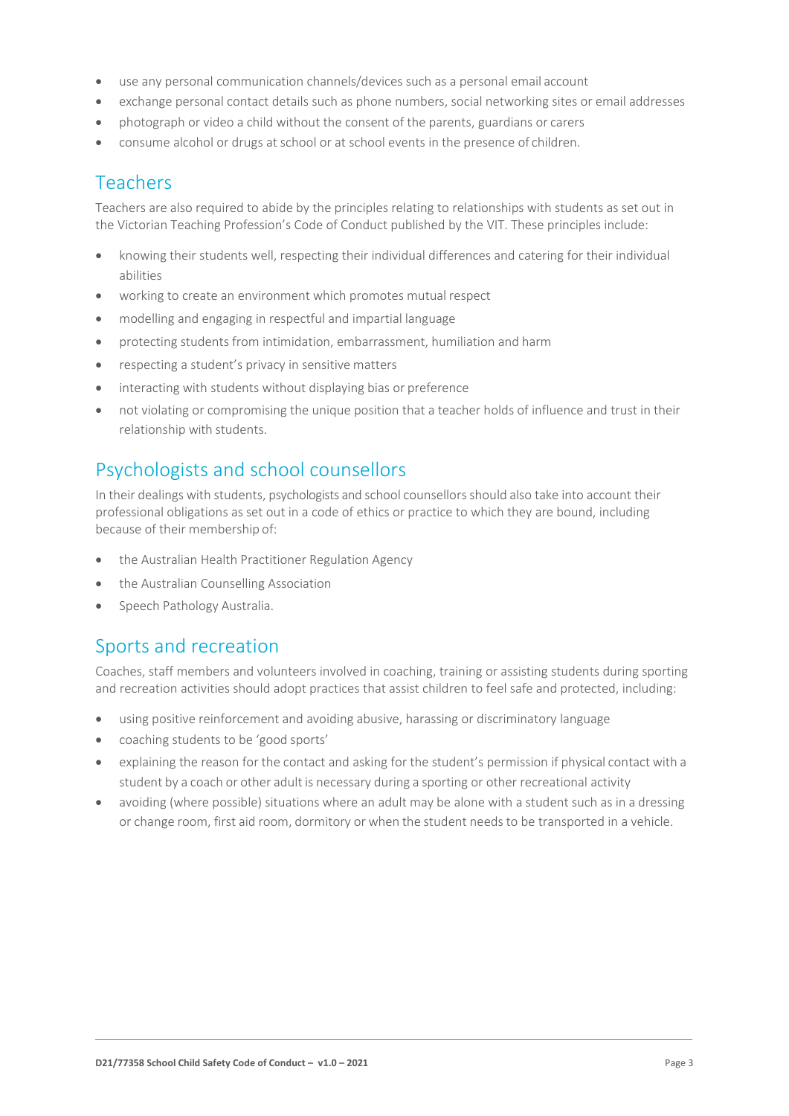- use any personal communication channels/devices such as a personal email account
- exchange personal contact details such as phone numbers, social networking sites or email addresses
- photograph or video a child without the consent of the parents, guardians or carers
- consume alcohol or drugs at school or at school events in the presence of children.

#### Teachers

Teachers are also required to abide by the principles relating to relationships with students as set out in the Victorian Teaching Profession's Code of Conduct published by the VIT. These principles include:

- knowing their students well, respecting their individual differences and catering for their individual abilities
- working to create an environment which promotes mutual respect
- modelling and engaging in respectful and impartial language
- protecting students from intimidation, embarrassment, humiliation and harm
- respecting a student's privacy in sensitive matters
- interacting with students without displaying bias or preference
- not violating or compromising the unique position that a teacher holds of influence and trust in their relationship with students.

### Psychologists and school counsellors

In their dealings with students, psychologists and school counsellors should also take into account their professional obligations as set out in a code of ethics or practice to which they are bound, including because of their membership of:

- the Australian Health Practitioner Regulation Agency
- the Australian Counselling Association
- Speech Pathology Australia.

#### Sports and recreation

Coaches, staff members and volunteers involved in coaching, training or assisting students during sporting and recreation activities should adopt practices that assist children to feel safe and protected, including:

- using positive reinforcement and avoiding abusive, harassing or discriminatory language
- coaching students to be 'good sports'
- explaining the reason for the contact and asking for the student's permission if physical contact with a student by a coach or other adult is necessary during a sporting or other recreational activity
- avoiding (where possible) situations where an adult may be alone with a student such as in a dressing or change room, first aid room, dormitory or when the student needs to be transported in a vehicle.